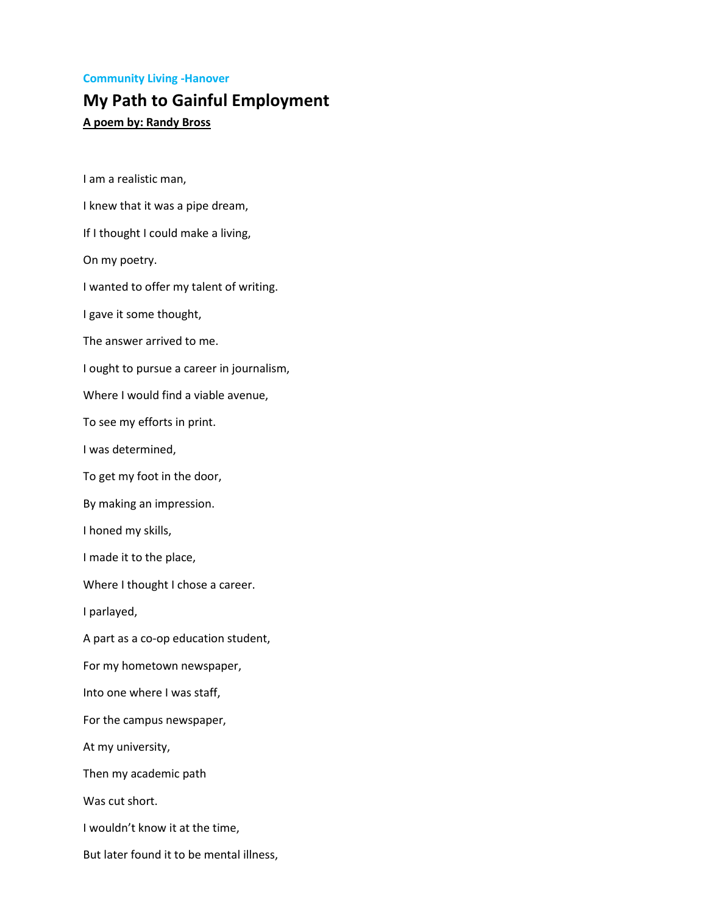## **Community Living -Hanover**

## **My Path to Gainful Employment**

**A poem by: Randy Bross**

I am a realistic man, I knew that it was a pipe dream, If I thought I could make a living, On my poetry. I wanted to offer my talent of writing. I gave it some thought, The answer arrived to me. I ought to pursue a career in journalism, Where I would find a viable avenue, To see my efforts in print. I was determined, To get my foot in the door, By making an impression. I honed my skills, I made it to the place, Where I thought I chose a career. I parlayed, A part as a co-op education student, For my hometown newspaper, Into one where I was staff, For the campus newspaper, At my university, Then my academic path Was cut short. I wouldn't know it at the time, But later found it to be mental illness,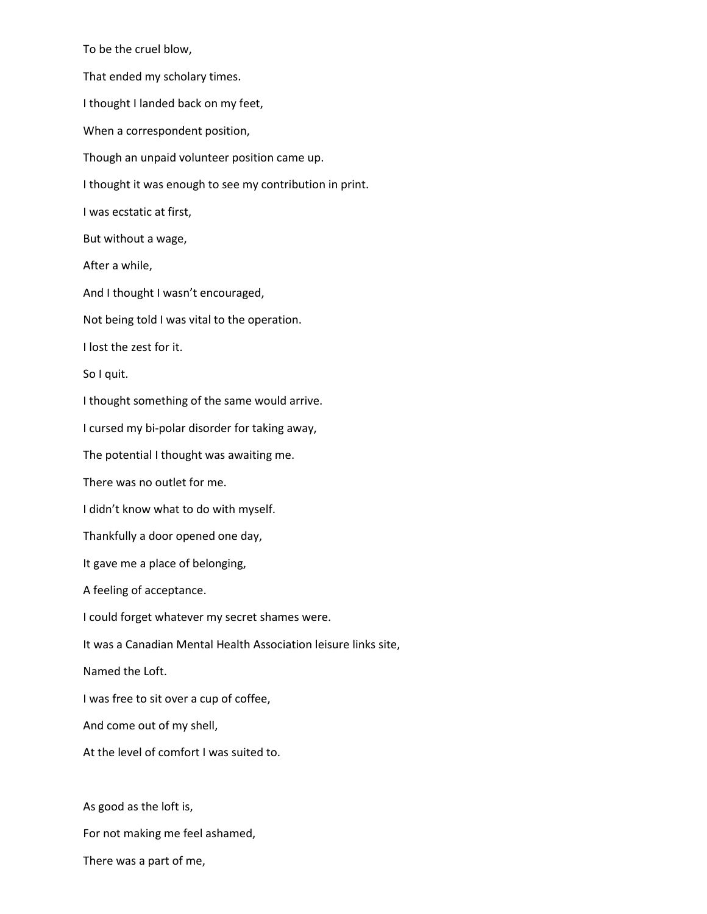To be the cruel blow, That ended my scholary times. I thought I landed back on my feet, When a correspondent position, Though an unpaid volunteer position came up. I thought it was enough to see my contribution in print. I was ecstatic at first, But without a wage, After a while, And I thought I wasn't encouraged, Not being told I was vital to the operation. I lost the zest for it. So I quit. I thought something of the same would arrive. I cursed my bi-polar disorder for taking away, The potential I thought was awaiting me. There was no outlet for me. I didn't know what to do with myself. Thankfully a door opened one day, It gave me a place of belonging, A feeling of acceptance. I could forget whatever my secret shames were. It was a Canadian Mental Health Association leisure links site, Named the Loft. I was free to sit over a cup of coffee, And come out of my shell, At the level of comfort I was suited to. As good as the loft is, For not making me feel ashamed,

There was a part of me,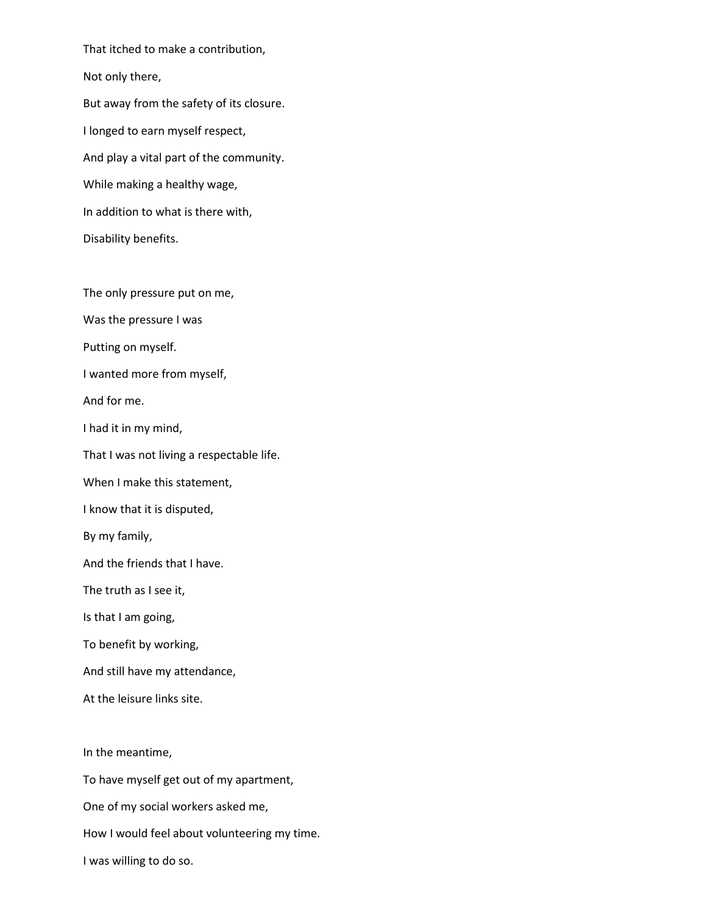That itched to make a contribution, Not only there, But away from the safety of its closure. I longed to earn myself respect, And play a vital part of the community. While making a healthy wage, In addition to what is there with, Disability benefits.

The only pressure put on me,

Was the pressure I was

Putting on myself.

I wanted more from myself,

And for me.

I had it in my mind,

That I was not living a respectable life.

When I make this statement,

I know that it is disputed,

By my family,

And the friends that I have.

The truth as I see it,

Is that I am going,

To benefit by working,

And still have my attendance,

At the leisure links site.

In the meantime,

To have myself get out of my apartment,

One of my social workers asked me,

How I would feel about volunteering my time.

I was willing to do so.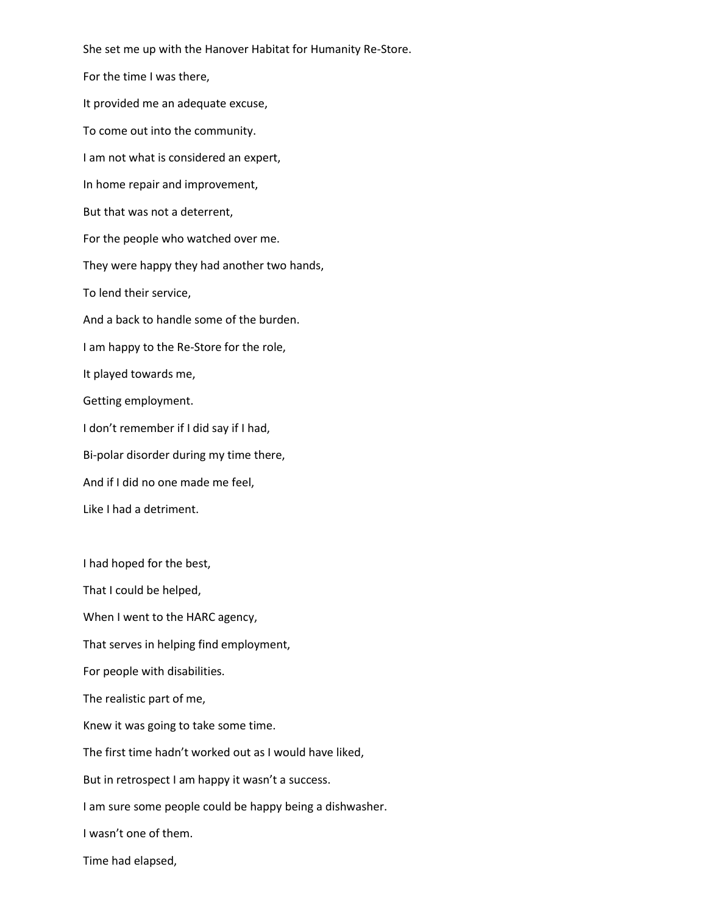She set me up with the Hanover Habitat for Humanity Re-Store. For the time I was there, It provided me an adequate excuse, To come out into the community. I am not what is considered an expert, In home repair and improvement, But that was not a deterrent, For the people who watched over me. They were happy they had another two hands, To lend their service, And a back to handle some of the burden. I am happy to the Re-Store for the role, It played towards me, Getting employment. I don't remember if I did say if I had, Bi-polar disorder during my time there, And if I did no one made me feel, Like I had a detriment.

That I could be helped,

I had hoped for the best,

When I went to the HARC agency,

That serves in helping find employment,

For people with disabilities.

The realistic part of me,

Knew it was going to take some time.

The first time hadn't worked out as I would have liked,

But in retrospect I am happy it wasn't a success.

I am sure some people could be happy being a dishwasher.

I wasn't one of them.

Time had elapsed,